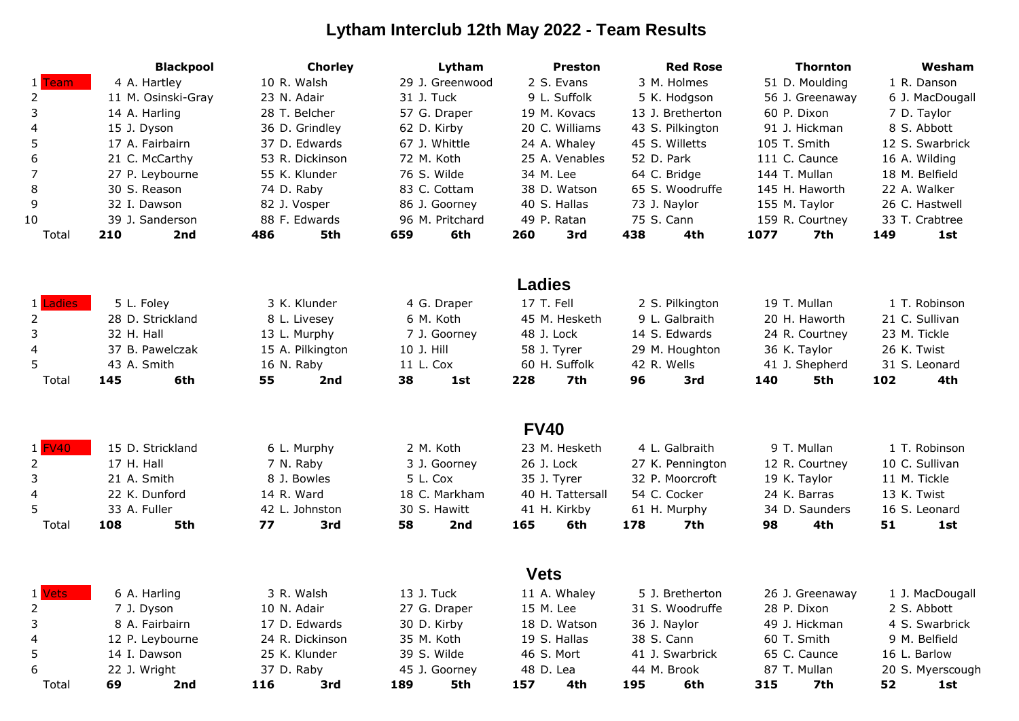## **Lytham Interclub 12th May 2022 - Team Results**

|                | <b>Blackpool</b>           | <b>Chorley</b>   | Lytham          | <b>Preston</b>   | <b>Red Rose</b>  | <b>Thornton</b> | Wesham           |  |
|----------------|----------------------------|------------------|-----------------|------------------|------------------|-----------------|------------------|--|
| 1 Team         | 4 A. Hartley               | 10 R. Walsh      | 29 J. Greenwood | 2 S. Evans       | 3 M. Holmes      | 51 D. Moulding  | 1 R. Danson      |  |
| $\overline{2}$ | 11 M. Osinski-Gray         | 23 N. Adair      | 31 J. Tuck      | 9 L. Suffolk     | 5 K. Hodgson     | 56 J. Greenaway | 6 J. MacDougall  |  |
| 3              | 14 A. Harling              | 28 T. Belcher    | 57 G. Draper    | 19 M. Kovacs     | 13 J. Bretherton | 60 P. Dixon     | 7 D. Taylor      |  |
| 4              | 15 J. Dyson                | 36 D. Grindley   | 62 D. Kirby     | 20 C. Williams   | 43 S. Pilkington | 91 J. Hickman   | 8 S. Abbott      |  |
| 5              | 17 A. Fairbairn            | 37 D. Edwards    | 67 J. Whittle   | 24 A. Whaley     | 45 S. Willetts   | 105 T. Smith    | 12 S. Swarbrick  |  |
| 6              | 21 C. McCarthy             | 53 R. Dickinson  | 72 M. Koth      | 25 A. Venables   | 52 D. Park       | 111 C. Caunce   | 16 A. Wilding    |  |
| 7              | 27 P. Leybourne            | 55 K. Klunder    | 76 S. Wilde     | 34 M. Lee        | 64 C. Bridge     | 144 T. Mullan   | 18 M. Belfield   |  |
| 8              | 30 S. Reason               | 74 D. Raby       | 83 C. Cottam    | 38 D. Watson     | 65 S. Woodruffe  | 145 H. Haworth  | 22 A. Walker     |  |
| 9              | 32 I. Dawson               | 82 J. Vosper     | 86 J. Goorney   | 40 S. Hallas     | 73 J. Naylor     | 155 M. Taylor   | 26 C. Hastwell   |  |
| 10             | 39 J. Sanderson            | 88 F. Edwards    | 96 M. Pritchard | 49 P. Ratan      | 75 S. Cann       | 159 R. Courtney | 33 T. Crabtree   |  |
| Total          | 210<br>2nd                 | 5th<br>486       | 659<br>6th      | 260<br>3rd       | 438<br>4th       | 1077<br>7th     | 149<br>1st       |  |
|                |                            |                  |                 |                  |                  |                 |                  |  |
|                |                            |                  |                 | <b>Ladies</b>    |                  |                 |                  |  |
| 1 Ladies       | 5 L. Foley                 | 3 K. Klunder     | 4 G. Draper     | 17 T. Fell       | 2 S. Pilkington  | 19 T. Mullan    | 1 T. Robinson    |  |
| 2              | 28 D. Strickland           | 8 L. Livesey     | 6 M. Koth       | 45 M. Hesketh    | 9 L. Galbraith   | 20 H. Haworth   | 21 C. Sullivan   |  |
| 3              | 32 H. Hall                 | 13 L. Murphy     | 7 J. Goorney    | 48 J. Lock       | 14 S. Edwards    | 24 R. Courtney  | 23 M. Tickle     |  |
| 4              | 37 B. Pawelczak            | 15 A. Pilkington | 10 J. Hill      | 58 J. Tyrer      | 29 M. Houghton   | 36 K. Taylor    | 26 K. Twist      |  |
| 5.             | 43 A. Smith                | 16 N. Raby       | 11 L. Cox       | 60 H. Suffolk    | 42 R. Wells      | 41 J. Shepherd  | 31 S. Leonard    |  |
| Total          | 145<br>6th                 | 55<br>2nd        | 38<br>1st       | 228<br>7th       | 96<br>3rd        | 140<br>5th      | 102<br>4th       |  |
|                |                            |                  |                 |                  |                  |                 |                  |  |
|                |                            |                  |                 | <b>FV40</b>      |                  |                 |                  |  |
| $1$ FV40       | 15 D. Strickland           | 6 L. Murphy      | 2 M. Koth       | 23 M. Hesketh    | 4 L. Galbraith   | 9 T. Mullan     | 1 T. Robinson    |  |
| 2              | 17 H. Hall                 | 7 N. Raby        | 3 J. Goorney    | 26 J. Lock       | 27 K. Pennington | 12 R. Courtney  | 10 C. Sullivan   |  |
| 3              | 21 A. Smith                | 8 J. Bowles      | 5 L. Cox        | 35 J. Tyrer      | 32 P. Moorcroft  | 19 K. Taylor    | 11 M. Tickle     |  |
| 4              | 22 K. Dunford              | 14 R. Ward       | 18 C. Markham   | 40 H. Tattersall | 54 C. Cocker     | 24 K. Barras    | 13 K. Twist      |  |
| 5.             | 33 A. Fuller               | 42 L. Johnston   | 30 S. Hawitt    | 41 H. Kirkby     | 61 H. Murphy     | 34 D. Saunders  | 16 S. Leonard    |  |
| Total          | 5th<br>108                 | 77<br>3rd        | 58<br>2nd       | 165<br>6th       | 178<br>7th       | 4th<br>98       | 51<br>1st        |  |
|                |                            |                  |                 | <b>Vets</b>      |                  |                 |                  |  |
| 1 Vets         | 3 R. Walsh<br>6 A. Harling |                  | 13 J. Tuck      | 11 A. Whaley     | 5 J. Bretherton  | 26 J. Greenaway | 1 J. MacDougall  |  |
|                | 7 J. Dyson                 | 10 N. Adair      | 27 G. Draper    | 15 M. Lee        | 31 S. Woodruffe  | 28 P. Dixon     | 2 S. Abbott      |  |
| 2<br>3         | 8 A. Fairbairn             | 17 D. Edwards    | 30 D. Kirby     | 18 D. Watson     | 36 J. Naylor     | 49 J. Hickman   | 4 S. Swarbrick   |  |
| 4              | 12 P. Leybourne            | 24 R. Dickinson  | 35 M. Koth      | 19 S. Hallas     | 38 S. Cann       | 60 T. Smith     | 9 M. Belfield    |  |
| 5              | 14 I. Dawson               | 25 K. Klunder    | 39 S. Wilde     | 46 S. Mort       | 41 J. Swarbrick  | 65 C. Caunce    | 16 L. Barlow     |  |
| 6              | 22 J. Wright               | 37 D. Raby       | 45 J. Goorney   | 48 D. Lea        | 44 M. Brook      | 87 T. Mullan    | 20 S. Myerscough |  |
| Total          | 69<br>2nd                  | 116<br>3rd       | 189<br>5th      | 157<br>4th       | 195<br>6th       | 315<br>7th      | 52<br>1st        |  |